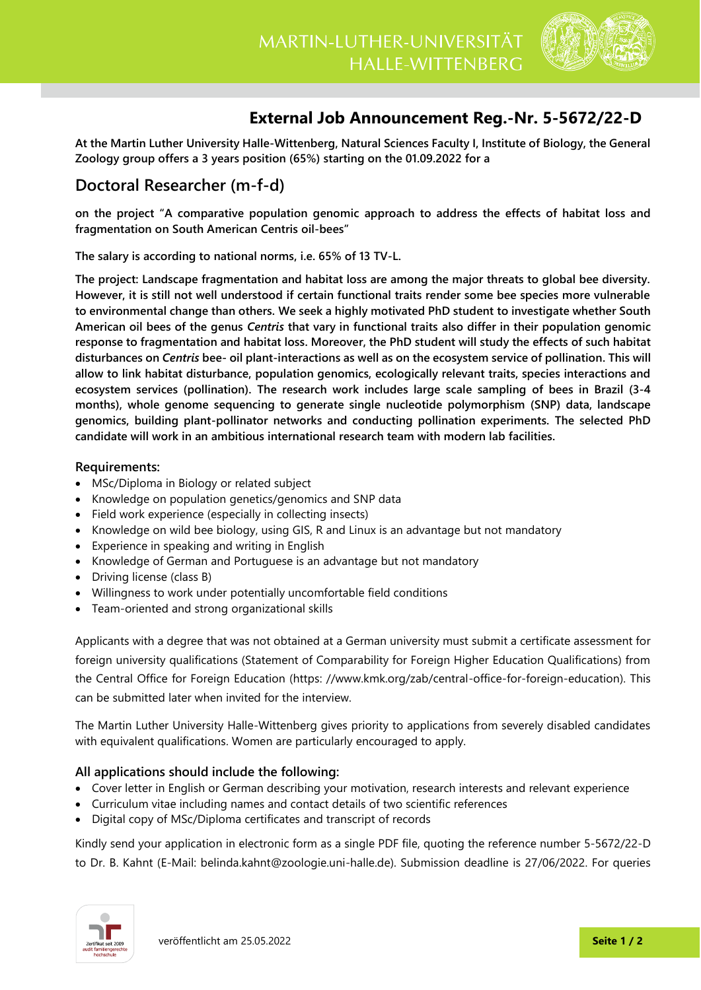

## **External Job Announcement Reg.-Nr. 5-5672/22-D**

**At the Martin Luther University Halle-Wittenberg, Natural Sciences Faculty I, Institute of Biology, the General Zoology group offers a 3 years position (65%) starting on the 01.09.2022 for a**

## **Doctoral Researcher (m-f-d)**

**on the project "A comparative population genomic approach to address the effects of habitat loss and fragmentation on South American Centris oil-bees"**

**The salary is according to national norms, i.e. 65% of 13 TV-L.** 

**The project: Landscape fragmentation and habitat loss are among the major threats to global bee diversity. However, it is still not well understood if certain functional traits render some bee species more vulnerable to environmental change than others. We seek a highly motivated PhD student to investigate whether South American oil bees of the genus** *Centris* **that vary in functional traits also differ in their population genomic response to fragmentation and habitat loss. Moreover, the PhD student will study the effects of such habitat disturbances on** *Centris* **bee- oil plant-interactions as well as on the ecosystem service of pollination. This will allow to link habitat disturbance, population genomics, ecologically relevant traits, species interactions and ecosystem services (pollination). The research work includes large scale sampling of bees in Brazil (3-4 months), whole genome sequencing to generate single nucleotide polymorphism (SNP) data, landscape genomics, building plant-pollinator networks and conducting pollination experiments. The selected PhD candidate will work in an ambitious international research team with modern lab facilities.**

## **Requirements:**

- MSc/Diploma in Biology or related subject
- Knowledge on population genetics/genomics and SNP data
- Field work experience (especially in collecting insects)
- Knowledge on wild bee biology, using GIS, R and Linux is an advantage but not mandatory
- Experience in speaking and writing in English
- Knowledge of German and Portuguese is an advantage but not mandatory
- Driving license (class B)
- Willingness to work under potentially uncomfortable field conditions
- Team-oriented and strong organizational skills

Applicants with a degree that was not obtained at a German university must submit a certificate assessment for foreign university qualifications (Statement of Comparability for Foreign Higher Education Qualifications) from the Central Office for Foreign Education (https: //www.kmk.org/zab/central-office-for-foreign-education). This can be submitted later when invited for the interview.

The Martin Luther University Halle-Wittenberg gives priority to applications from severely disabled candidates with equivalent qualifications. Women are particularly encouraged to apply.

## **All applications should include the following:**

- Cover letter in English or German describing your motivation, research interests and relevant experience
- Curriculum vitae including names and contact details of two scientific references
- Digital copy of MSc/Diploma certificates and transcript of records

Kindly send your application in electronic form as a single PDF file, quoting the reference number 5-5672/22-D to Dr. B. Kahnt (E-Mail: [belinda.kahnt@zoologie.uni-halle.de\)](mailto:belinda.kahnt@zoologie.uni-halle.de). Submission deadline is 27/06/2022. For queries